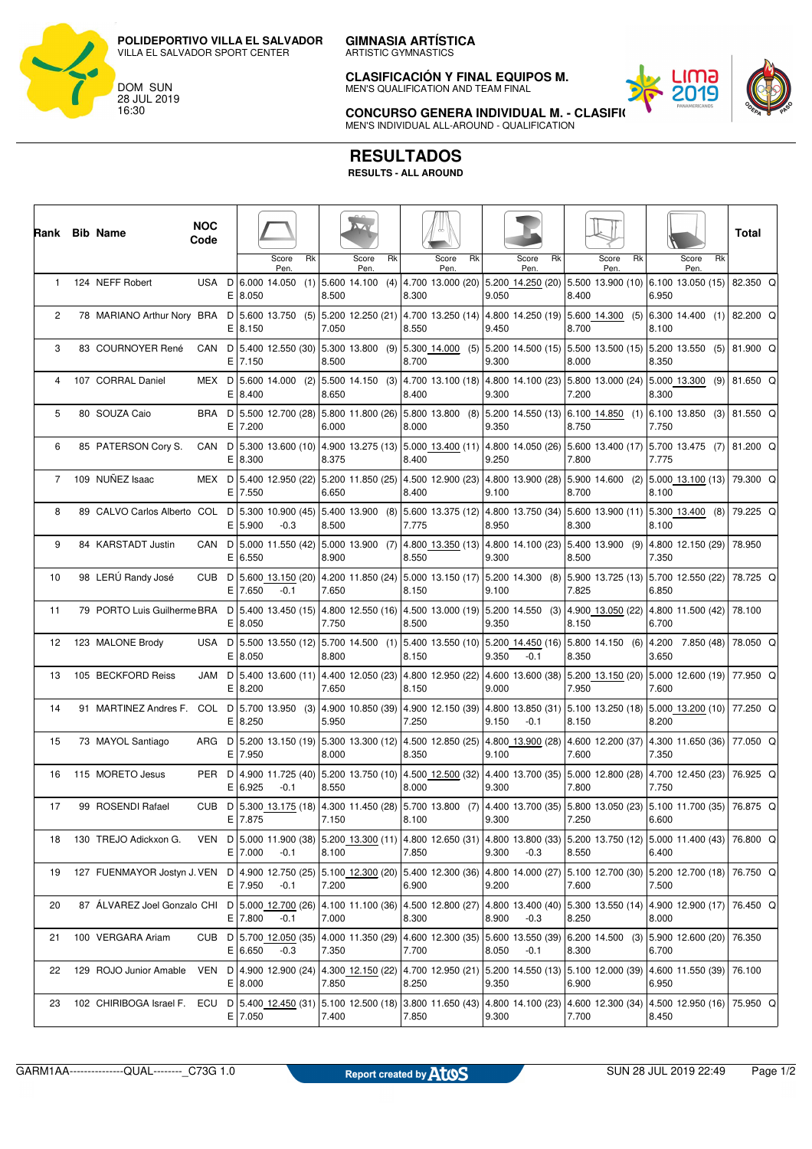**GIMNASIA ARTÍSTICA**

ARTISTIC GYMNASTICS

**CLASIFICACIÓN Y FINAL EQUIPOS M.** MEN'S QUALIFICATION AND TEAM FINAL



**CONCURSO GENERA INDIVIDUAL M. - CLASIFICACIÓN** MEN'S INDIVIDUAL ALL-AROUND - QUALIFICATION

## **RESULTADOS**

**RESULTS - ALL AROUND**

|                | Rank Bib Name                                                                                                                                                    | <b>NOC</b><br>Code |    |                                   |        |       |                  |    |       |                                                       |       |                                                                                                                                                                                     |       |                     |       |                                                              | Total    |  |
|----------------|------------------------------------------------------------------------------------------------------------------------------------------------------------------|--------------------|----|-----------------------------------|--------|-------|------------------|----|-------|-------------------------------------------------------|-------|-------------------------------------------------------------------------------------------------------------------------------------------------------------------------------------|-------|---------------------|-------|--------------------------------------------------------------|----------|--|
|                |                                                                                                                                                                  |                    |    | Score<br>Pen.                     | Rk     |       | Score<br>Pen.    | Rk |       | Rk<br>Score<br>Pen.                                   |       | Rk<br>Score<br>Pen.                                                                                                                                                                 |       | Rk<br>Score<br>Pen. |       | Rk<br>Score<br>Pen.                                          |          |  |
| $\mathbf{1}$   | 124 NEFF Robert                                                                                                                                                  | USA D              |    | E 8.050                           |        | 8.500 |                  |    | 8.300 | 6.000 14.050 (1) 5.600 14.100 (4) 4.700 13.000 (20)   | 9.050 | 5.200 14.250 (20)                                                                                                                                                                   | 8.400 |                     | 6.950 | 5.500 13.900 (10) 6.100 13.050 (15)                          | 82.350 Q |  |
| $\overline{2}$ | 78 MARIANO Arthur Nory BRA D   5.600 13.750 (5)                                                                                                                  |                    |    | $E$  8.150                        |        | 7.050 |                  |    | 8.550 |                                                       | 9.450 | $\vert 5.200 \vert 12.250 \vert (21) \vert 4.700 \vert 13.250 \vert (14) \vert 4.800 \vert 14.250 \vert (19) \vert 5.600 \vert 14.300 \vert (5) \vert 6.300 \vert 14.400 \vert (1)$ | 8.700 |                     | 8.100 |                                                              | 82.200 Q |  |
| 3              | 83 COURNOYER René                                                                                                                                                | CAN                | D  | E 7.150                           |        | 8.500 |                  |    | 8.700 | 5.400 12.550 (30) 5.300 13.800 (9) 5.300 14.000 (5)   | 9.300 | $5.200$ 14.500 (15) 5.500 13.500 (15) 5.200 13.550 (5)                                                                                                                              | 8.000 |                     | 8.350 |                                                              | 81.900 Q |  |
| 4              | 107 CORRAL Daniel                                                                                                                                                | MEX D              |    | 5.600 14.000 (2)<br>E 8.400       |        | 8.650 |                  |    | 8.400 |                                                       | 9.300 | $\vert 5.500\vert 14.150\vert (3)\vert 4.700\vert 13.100\vert (18)\vert 4.800\vert 14.100\vert (23)\vert 5.800\vert 13.000\vert (24)\vert 5.000\vert 13.300\vert (9)\vert$          | 7.200 |                     | 8.300 |                                                              | 81.650 Q |  |
| 5              | 80 SOUZA Caio                                                                                                                                                    | BRA D              |    | $E$ 7.200                         |        | 6.000 |                  |    | 8.000 |                                                       | 9.350 | 5.500 12.700 (28) 5.800 11.800 (26) 5.800 13.800 (8) 5.200 14.550 (13) 6.100 14.850 (1) 6.100 13.850 (3)                                                                            | 8.750 |                     | 7.750 |                                                              | 81.550 Q |  |
| 6              | 85 PATERSON Cory S.                                                                                                                                              | CAN D              | E. | 8.300                             |        | 8.375 |                  |    | 8.400 |                                                       | 9.250 | [5.300 13.600 (10) 4.900 13.275 (13) [5.000 13.400 (11) 4.800 14.050 (26) [5.600 13.400 (17) [5.700 13.475 (7)                                                                      | 7.800 |                     | 7.775 |                                                              | 81.200 Q |  |
| $\overline{7}$ | 109 NUÑEZ Isaac                                                                                                                                                  | MEX D              |    | 5.400 12.950 (22)<br>$E$ 7.550    |        | 6.650 |                  |    | 8.400 |                                                       | 9.100 | $ 5.200\;11.850\; (25)\; 4.500\;12.900\; (23)\; 4.800\;13.900\; (28)\; 5.900\;14.600\;$ (2) $ 5.000\;13.100\; (13)\; 79.300\;$ Q                                                    | 8.700 |                     | 8.100 |                                                              |          |  |
| 8              | 89 CALVO Carlos Alberto COL D   5.300 10.900 (45)   5.400 13.900 (8)   5.600 13.375 (12)   4.800 13.750 (34)   5.600 13.900 (11)   5.300 13.400 (8)              |                    | E. | 5.900                             | $-0.3$ | 8.500 |                  |    | 7.775 |                                                       | 8.950 |                                                                                                                                                                                     | 8.300 |                     | 8.100 |                                                              | 79.225 Q |  |
| 9              | 84 KARSTADT Justin                                                                                                                                               | CAN D              | Е  | 5.000 11.550 (42)<br>6.550        |        | 8.900 | 5.000 13.900 (7) |    | 8.550 |                                                       | 9.300 | $(4.800\;13.350\; (13)\; 4.800\;14.100\; (23)\; 5.400\;13.900\; (9)\; 4.800\;12.150\; (29)$                                                                                         | 8.500 |                     | 7.350 |                                                              | 78.950   |  |
| 10             | 98 LERÚ Randy José                                                                                                                                               | CUB <sub>D</sub>   |    | 5.600 13.150 (20)<br>$E$ 7.650    | $-0.1$ | 7.650 |                  |    | 8.150 |                                                       | 9.100 | $\vert$ 4.200 11.850 (24) 5.000 13.150 (17) 5.200 14.300 (8) 5.900 13.725 (13) 5.700 12.550 (22)                                                                                    | 7.825 |                     | 6.850 |                                                              | 78.725 Q |  |
| 11             | 79 PORTO Luis Guilherme BRA                                                                                                                                      |                    | E  | 8.050                             |        | 7.750 |                  |    | 8.500 |                                                       | 9.350 | D 5.400 13.450 (15) 4.800 12.550 (16) 4.500 13.000 (19) 5.200 14.550 (3)                                                                                                            | 8.150 |                     | 6.700 | 4.900 13.050 (22) 4.800 11.500 (42)                          | 78.100   |  |
| 12             | 123 MALONE Brody                                                                                                                                                 |                    | E  | 8.050                             |        | 8.800 |                  |    | 8.150 |                                                       | 9.350 | USA D 5.500 13.550 (12) 5.700 14.500 (1) 5.400 13.550 (10) 5.200 14.450 (16)<br>$-0.1$                                                                                              | 8.350 |                     | 3.650 | 5.800 14.150 (6) 4.200 7.850 (48)                            | 78.050 Q |  |
| 13             | 105 BECKFORD Reiss                                                                                                                                               | JAM D              |    | E 8.200                           |        | 7.650 |                  |    | 8.150 | 5.400 13.600 (11) 4.400 12.050 (23) 4.800 12.950 (22) | 9.000 | 4.600 13.600 (38) 5.200 13.150 (20) 5.000 12.600 (19)                                                                                                                               | 7.950 |                     | 7.600 |                                                              | 77.950 Q |  |
| 14             | 91 MARTINEZ Andres F.                                                                                                                                            |                    | Е  | COL D   5.700 13.950 (3)<br>8.250 |        | 5.950 |                  |    | 7.250 |                                                       | 9.150 | $(4.900 10.850 (39) 4.900 12.150 (39) 4.800 13.850 (31))$<br>$-0.1$                                                                                                                 | 8.150 |                     | 8.200 | $ 5.100 \t13.250 \t(18)  5.000 \t13.200 \t(10)   77.250 \tQ$ |          |  |
| 15             | 73 MAYOL Santiago                                                                                                                                                | ARG D              | Е  | 7.950                             |        | 8.000 |                  |    | 8.350 |                                                       | 9.100 | $ 5.200$ 13.150 (19) $ 5.300$ 13.300 (12) 4.500 12.850 (25) 4.800 13.900 (28)                                                                                                       | 7.600 |                     | 7.350 | 4.600 12.200 (37) 4.300 11.650 (36) 77.050 Q                 |          |  |
| 16             | 115 MORETO Jesus                                                                                                                                                 | PER D              |    | 4.900 11.725 (40)<br>E 6.925      | $-0.1$ | 8.550 |                  |    | 8.000 | 5.200 13.750 (10) 4.500 12.500 (32)                   | 9.300 | 4.400 13.700 (35) 5.000 12.800 (28) 4.700 12.450 (23)                                                                                                                               | 7.800 |                     | 7.750 |                                                              | 76.925 Q |  |
| 17             | 99 ROSENDI Rafael                                                                                                                                                |                    |    | E 7.875                           |        | 7.150 |                  |    | 8.100 |                                                       | 9.300 | CUB D 5.300 13.175 (18) 4.300 11.450 (28) 5.700 13.800 (7) 4.400 13.700 (35) 5.800 13.050 (23) 5.100 11.700 (35) 76.875 Q                                                           | 7.250 |                     | 6.600 |                                                              |          |  |
| 18             | 130 TREJO Adickxon G.                                                                                                                                            |                    |    | $E$ 7.000                         | $-0.1$ | 8.100 |                  |    | 7.850 |                                                       | 9.300 | VEN D   5.000 11.900 (38)   5.200 13.300 (11)   4.800 12.650 (31)   4.800 13.800 (33)   5.200 13.750 (12)   5.000 11.400 (43)   76.800 Q<br>$-0.3$                                  | 8.550 |                     | 6.400 |                                                              |          |  |
| 19             | 127 FUENMAYOR Jostyn J. VEN D   4.900 12.750 (25)                                                                                                                |                    |    | E 7.950                           | $-0.1$ | 7.200 |                  |    | 6.900 |                                                       | 9.200 | $ 5.100 \t12.300 \t(20) 5.400 \t12.300 \t(36) 4.800 \t14.000 \t(27) 5.100 \t12.700 \t(30) 5.200 \t12.700 \t(18) 76.750 \tQ$                                                         | 7.600 |                     | 7.500 |                                                              |          |  |
| 20             | 87 ALVAREZ Joel Gonzalo CHI D 5.000 12.700 (26)                                                                                                                  |                    |    | E 7.800                           | $-0.1$ | 7.000 |                  |    | 8.300 |                                                       | 8.900 | 4.100 11.100 (36)  4.500 12.800 (27)  4.800 13.400 (40)  5.300 13.550 (14)  4.900 12.900 (17)   76.450 Q<br>$-0.3$                                                                  | 8.250 |                     | 8.000 |                                                              |          |  |
| 21             | 100 VERGARA Ariam                                                                                                                                                |                    |    | E 6.650                           | $-0.3$ | 7.350 |                  |    | 7.700 |                                                       | 8.050 | CUB D 5.700 12.050 (35) 4.000 11.350 (29) 4.600 12.300 (35) 5.600 13.550 (39) 6.200 14.500 (3) 5.900 12.600 (20) 76.350<br>$-0.1$                                                   | 8.300 |                     | 6.700 |                                                              |          |  |
| 22             | 129 ROJO Junior Amable                                                                                                                                           |                    |    | E 8.000                           |        | 7.850 |                  |    | 8.250 |                                                       | 9.350 | VEN D 4.900 12.900 (24) 4.300 12.150 (22) 4.700 12.950 (21) 5.200 14.550 (13) 5.100 12.000 (39) 4.600 11.550 (39)                                                                   | 6.900 |                     | 6.950 |                                                              | 76.100   |  |
| 23             | 102 CHIRIBOGA Israel F. ECU D   5.400 12.450 (31)   5.100 12.500 (18)   3.800 11.650 (43)   4.800 14.100 (23)   4.600 12.300 (34)   4.500 12.950 (16)   75.950 Q |                    |    | E 7.050                           |        | 7.400 |                  |    | 7.850 |                                                       | 9.300 |                                                                                                                                                                                     | 7.700 |                     | 8.450 |                                                              |          |  |